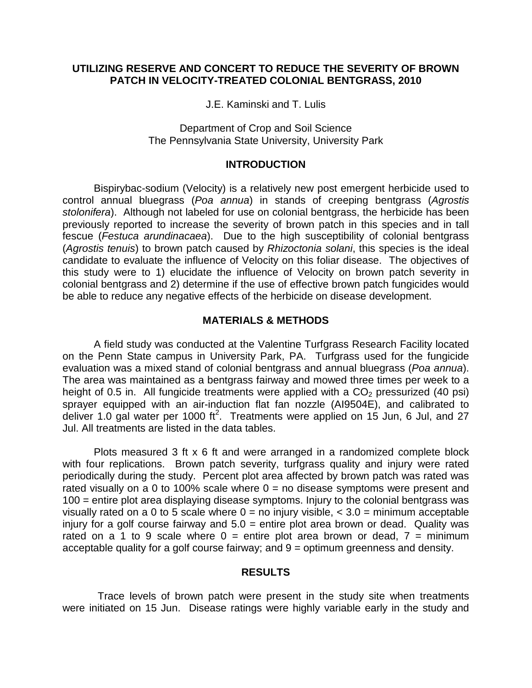## **UTILIZING RESERVE AND CONCERT TO REDUCE THE SEVERITY OF BROWN PATCH IN VELOCITY-TREATED COLONIAL BENTGRASS, 2010**

J.E. Kaminski and T. Lulis

Department of Crop and Soil Science The Pennsylvania State University, University Park

## **INTRODUCTION**

Bispirybac-sodium (Velocity) is a relatively new post emergent herbicide used to control annual bluegrass (*Poa annua*) in stands of creeping bentgrass (*Agrostis stolonifera*). Although not labeled for use on colonial bentgrass, the herbicide has been previously reported to increase the severity of brown patch in this species and in tall fescue (*Festuca arundinacaea*). Due to the high susceptibility of colonial bentgrass (*Agrostis tenuis*) to brown patch caused by *Rhizoctonia solani*, this species is the ideal candidate to evaluate the influence of Velocity on this foliar disease. The objectives of this study were to 1) elucidate the influence of Velocity on brown patch severity in colonial bentgrass and 2) determine if the use of effective brown patch fungicides would be able to reduce any negative effects of the herbicide on disease development.

## **MATERIALS & METHODS**

A field study was conducted at the Valentine Turfgrass Research Facility located on the Penn State campus in University Park, PA. Turfgrass used for the fungicide evaluation was a mixed stand of colonial bentgrass and annual bluegrass (*Poa annua*). The area was maintained as a bentgrass fairway and mowed three times per week to a height of 0.5 in. All fungicide treatments were applied with a  $CO<sub>2</sub>$  pressurized (40 psi) sprayer equipped with an air-induction flat fan nozzle (AI9504E), and calibrated to deliver 1.0 gal water per 1000 ft<sup>2</sup>. Treatments were applied on 15 Jun, 6 Jul, and 27 Jul. All treatments are listed in the data tables.

Plots measured 3 ft x 6 ft and were arranged in a randomized complete block with four replications. Brown patch severity, turfgrass quality and injury were rated periodically during the study. Percent plot area affected by brown patch was rated was rated visually on a 0 to 100% scale where  $0 =$  no disease symptoms were present and 100 = entire plot area displaying disease symptoms. Injury to the colonial bentgrass was visually rated on a 0 to 5 scale where  $0 = no$  injury visible,  $<$  3.0 = minimum acceptable injury for a golf course fairway and  $5.0$  = entire plot area brown or dead. Quality was rated on a 1 to 9 scale where  $0 =$  entire plot area brown or dead,  $7 =$  minimum acceptable quality for a golf course fairway; and 9 = optimum greenness and density.

#### **RESULTS**

Trace levels of brown patch were present in the study site when treatments were initiated on 15 Jun. Disease ratings were highly variable early in the study and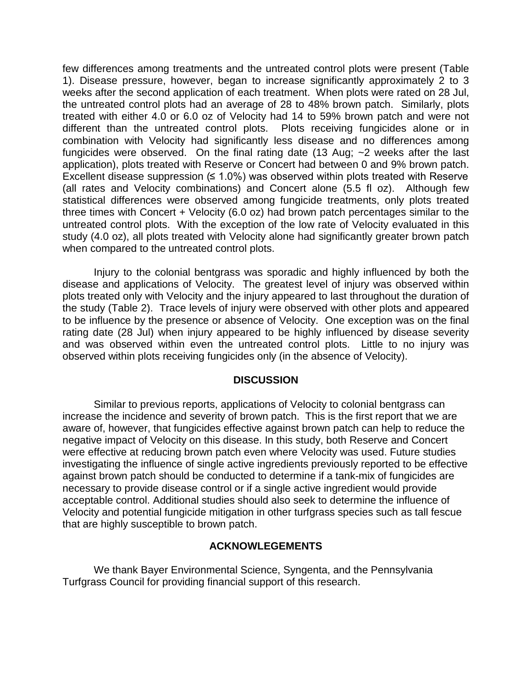few differences among treatments and the untreated control plots were present (Table 1). Disease pressure, however, began to increase significantly approximately 2 to 3 weeks after the second application of each treatment. When plots were rated on 28 Jul, the untreated control plots had an average of 28 to 48% brown patch. Similarly, plots treated with either 4.0 or 6.0 oz of Velocity had 14 to 59% brown patch and were not different than the untreated control plots. Plots receiving fungicides alone or in combination with Velocity had significantly less disease and no differences among fungicides were observed. On the final rating date (13 Aug; ~2 weeks after the last application), plots treated with Reserve or Concert had between 0 and 9% brown patch. Excellent disease suppression  $(≤ 1.0%)$  was observed within plots treated with Reserve (all rates and Velocity combinations) and Concert alone (5.5 fl oz). Although few statistical differences were observed among fungicide treatments, only plots treated three times with Concert  $+$  Velocity (6.0 oz) had brown patch percentages similar to the untreated control plots. With the exception of the low rate of Velocity evaluated in this study (4.0 oz), all plots treated with Velocity alone had significantly greater brown patch when compared to the untreated control plots.

Injury to the colonial bentgrass was sporadic and highly influenced by both the disease and applications of Velocity. The greatest level of injury was observed within plots treated only with Velocity and the injury appeared to last throughout the duration of the study (Table 2). Trace levels of injury were observed with other plots and appeared to be influence by the presence or absence of Velocity. One exception was on the final rating date (28 Jul) when injury appeared to be highly influenced by disease severity and was observed within even the untreated control plots. Little to no injury was observed within plots receiving fungicides only (in the absence of Velocity).

## **DISCUSSION**

Similar to previous reports, applications of Velocity to colonial bentgrass can increase the incidence and severity of brown patch. This is the first report that we are aware of, however, that fungicides effective against brown patch can help to reduce the negative impact of Velocity on this disease. In this study, both Reserve and Concert were effective at reducing brown patch even where Velocity was used. Future studies investigating the influence of single active ingredients previously reported to be effective against brown patch should be conducted to determine if a tank-mix of fungicides are necessary to provide disease control or if a single active ingredient would provide acceptable control. Additional studies should also seek to determine the influence of Velocity and potential fungicide mitigation in other turfgrass species such as tall fescue that are highly susceptible to brown patch.

# **ACKNOWLEGEMENTS**

We thank Bayer Environmental Science, Syngenta, and the Pennsylvania Turfgrass Council for providing financial support of this research.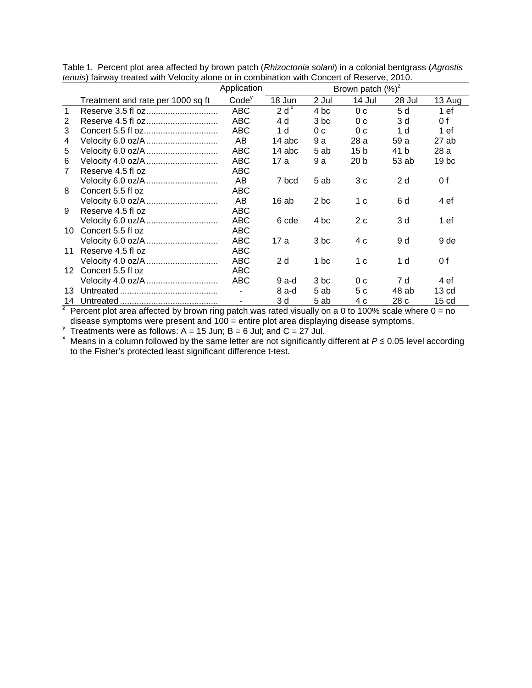|                 |                                   | Application       |                  | Brown patch $(%)^z$ |                 |        |                  |
|-----------------|-----------------------------------|-------------------|------------------|---------------------|-----------------|--------|------------------|
|                 | Treatment and rate per 1000 sq ft | Code <sup>y</sup> | 18 Jun           | 2 Jul               | 14 Jul          | 28 Jul | 13 Aug           |
|                 |                                   | <b>ABC</b>        | 2 d <sup>x</sup> | 4 bc                | 0 <sub>c</sub>  | 5 d    | 1ef              |
| 2               |                                   | <b>ABC</b>        | 4 d              | 3 bc                | 0 c             | 3 d    | 0 f              |
| 3               |                                   | <b>ABC</b>        | 1 d              | 0 <sub>c</sub>      | 0 <sub>c</sub>  | 1 d    | 1 ef             |
| 4               | Velocity 6.0 oz/A                 | AB                | 14 abc           | 9 a                 | 28 a            | 59 a   | 27ab             |
| 5               | Velocity 6.0 oz/A                 | <b>ABC</b>        | 14 abc           | 5 ab                | 15 <sub>b</sub> | 41 b   | 28 a             |
| 6               | Velocity 4.0 oz/A                 | <b>ABC</b>        | 17 a             | 9 a                 | 20 <sub>b</sub> | 53 ab  | 19 <sub>bc</sub> |
| $\overline{7}$  | Reserve 4.5 fl oz                 | ABC               |                  |                     |                 |        |                  |
|                 |                                   | AB                | 7 bcd            | 5 ab                | 3c              | 2d     | 0 f              |
| 8               | Concert 5.5 fl oz                 | <b>ABC</b>        |                  |                     |                 |        |                  |
|                 | Velocity 6.0 oz/A                 | AB                | 16ab             | 2 bc                | 1 c             | 6 d    | 4 ef             |
| 9               | Reserve 4.5 fl oz                 | <b>ABC</b>        |                  |                     |                 |        |                  |
|                 |                                   | <b>ABC</b>        | 6 cde            | 4 bc                | 2c              | 3 d    | 1ef              |
| 10 <sup>1</sup> | Concert 5.5 fl oz                 | <b>ABC</b>        |                  |                     |                 |        |                  |
|                 | Velocity 6.0 oz/A                 | <b>ABC</b>        | 17 a             | 3 bc                | 4 c             | 9 d    | 9 de             |
| 11              | Reserve 4.5 fl oz                 | <b>ABC</b>        |                  |                     |                 |        |                  |
|                 |                                   | <b>ABC</b>        | 2d               | 1 bc                | 1 c             | 1 d    | 0 f              |
| 12 <sup>2</sup> | Concert 5.5 fl oz                 | <b>ABC</b>        |                  |                     |                 |        |                  |
|                 |                                   | <b>ABC</b>        | 9 a-d            | 3 bc                | 0 <sub>c</sub>  | 7 d    | 4 ef             |
| 13              |                                   |                   | $8a-d$           | 5 ab                | 5 c             | 48 ab  | 13 <sub>cd</sub> |
| 14              |                                   |                   | 3 d              | 5 ab                | 4 c             | 28 c   | 15 cd            |

Table 1. Percent plot area affected by brown patch (*Rhizoctonia solani*) in a colonial bentgrass (*Agrostis tenuis*) fairway treated with Velocity alone or in combination with Concert of Reserve, 2010.

<sup>7</sup> Percent plot area affected by brown ring patch was rated visually on a 0 to 100% scale where  $0 = no$ disease symptoms were present and  $100 =$  entire plot area displaying disease symptoms.<br>
Treatments were as follows: A = 15 Jun; B = 6 Jul; and C = 27 Jul.<br>
x Means in a column followed by the same letter are not significa

to the Fisher's protected least significant difference t-test.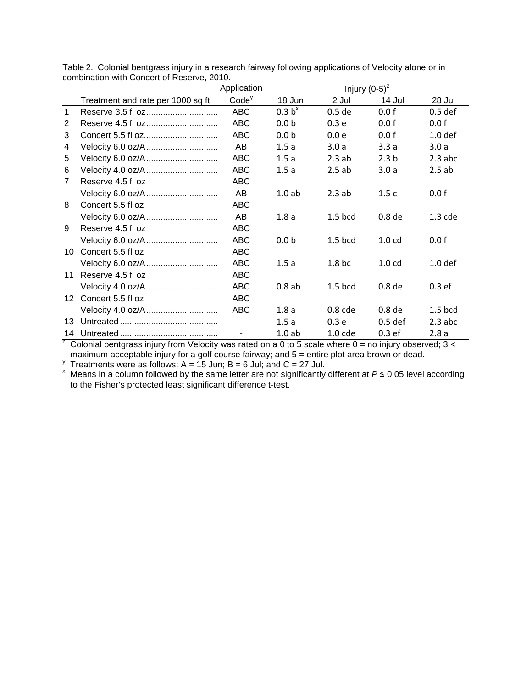|                |                                   | Application       |                    | Injury $(0-5)^{z}$ |                   |                    |  |  |
|----------------|-----------------------------------|-------------------|--------------------|--------------------|-------------------|--------------------|--|--|
|                | Treatment and rate per 1000 sq ft | Code <sup>y</sup> | 18 Jun             | 2 Jul              | 14 Jul            | 28 Jul             |  |  |
| $\mathbf{1}$   |                                   | <b>ABC</b>        | 0.3 b <sup>x</sup> | $0.5$ de           | 0.0 f             | $0.5$ def          |  |  |
| 2              |                                   | <b>ABC</b>        | 0.0 <sub>b</sub>   | 0.3 <sub>e</sub>   | 0.0 f             | 0.0 f              |  |  |
| 3              |                                   | <b>ABC</b>        | 0.0 <sub>b</sub>   | 0.0 <sub>e</sub>   | 0.0 f             | 1.0 <sub>def</sub> |  |  |
| 4              | Velocity 6.0 oz/A                 | AB.               | 1.5a               | 3.0a               | 3.3a              | 3.0a               |  |  |
| 5              | Velocity 6.0 oz/A                 | <b>ABC</b>        | 1.5a               | 2.3ab              | 2.3 <sub>b</sub>  | $2.3$ abc          |  |  |
| 6              |                                   | <b>ABC</b>        | 1.5a               | 2.5ab              | 3.0a              | 2.5ab              |  |  |
| $\overline{7}$ | Reserve 4.5 fl oz                 | ABC               |                    |                    |                   |                    |  |  |
|                |                                   | AB                | 1.0ab              | 2.3ab              | 1.5c              | 0.0 f              |  |  |
| 8              | Concert 5.5 fl oz                 | <b>ABC</b>        |                    |                    |                   |                    |  |  |
|                | Velocity 6.0 oz/A                 | AB                | 1.8a               | $1.5$ bcd          | 0.8 <sub>de</sub> | $1.3$ cde          |  |  |
| 9              | Reserve 4.5 fl oz                 | ABC               |                    |                    |                   |                    |  |  |
|                | Velocity 6.0 oz/A                 | <b>ABC</b>        | 0.0 <sub>b</sub>   | $1.5$ bcd          | 1.0 <sub>cd</sub> | 0.0 f              |  |  |
| 10             | Concert 5.5 fl oz                 | ABC               |                    |                    |                   |                    |  |  |
|                |                                   | <b>ABC</b>        | 1.5a               | 1.8 <sub>bc</sub>  | 1.0 <sub>cd</sub> | 1.0 <sub>def</sub> |  |  |
| 11             | Reserve 4.5 fl oz                 | ABC               |                    |                    |                   |                    |  |  |
|                | Velocity 4.0 oz/A                 | <b>ABC</b>        | 0.8ab              | $1.5$ bcd          | 0.8 <sub>de</sub> | 0.3 <sub>ef</sub>  |  |  |
|                | 12 Concert 5.5 fl oz              | <b>ABC</b>        |                    |                    |                   |                    |  |  |
|                |                                   | <b>ABC</b>        | 1.8a               | $0.8$ cde          | 0.8 <sub>de</sub> | $1.5$ bcd          |  |  |
| 13             |                                   |                   | 1.5a               | 0.3 <sub>e</sub>   | $0.5$ def         | $2.3$ abc          |  |  |
| 14             |                                   |                   | 1.0ab              | $1.0$ cde          | 0.3 <sub>ef</sub> | 2.8a               |  |  |

Table 2. Colonial bentgrass injury in a research fairway following applications of Velocity alone or in combination with Concert of Reserve, 2010.

<sup>z</sup> Colonial bentgrass injury from Velocity was rated on a 0 to 5 scale where 0 = no injury observed; 3 <

maximum acceptable injury for a golf course fairway; and 5 = entire plot area brown or dead.<br><sup>y</sup> Treatments were as follows: A = 15 Jun; B = 6 Jul; and C = 27 Jul.<br><sup>×</sup> Means in a column followed by the same letter are to the Fisher's protected least significant difference t-test.